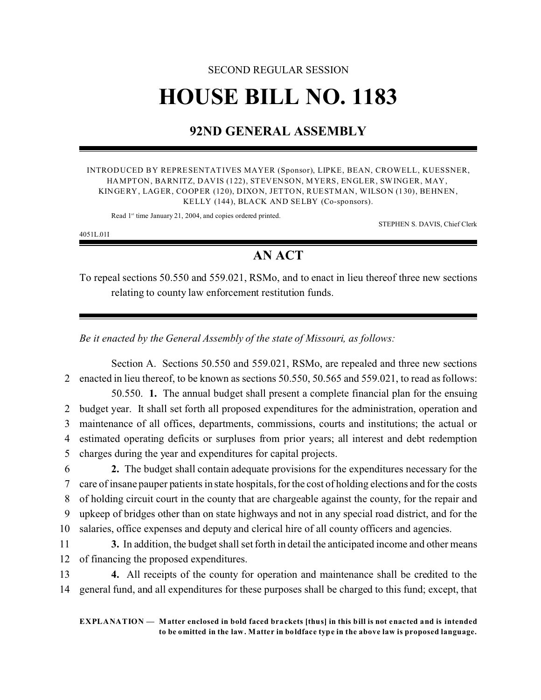# SECOND REGULAR SESSION **HOUSE BILL NO. 1183**

## **92ND GENERAL ASSEMBLY**

INTRODUCED BY REPRESENTATIVES MAYER (Sponsor), LIPKE, BEAN, CROWELL, KUESSNER, HAMPTON, BARNITZ, DAVIS (122), STEVENSON, MYERS, ENGLER, SWINGER, MAY, KINGERY, LAGER, COOPER (120), DIXON, JETTON, RUESTMAN, WILSON (130), BEHNEN, KELLY (144), BLACK AND SELBY (Co-sponsors).

Read 1<sup>st</sup> time January 21, 2004, and copies ordered printed.

STEPHEN S. DAVIS, Chief Clerk

4051L.01I

## **AN ACT**

To repeal sections 50.550 and 559.021, RSMo, and to enact in lieu thereof three new sections relating to county law enforcement restitution funds.

*Be it enacted by the General Assembly of the state of Missouri, as follows:*

Section A. Sections 50.550 and 559.021, RSMo, are repealed and three new sections 2 enacted in lieu thereof, to be known as sections 50.550, 50.565 and 559.021, to read as follows:

50.550. **1.** The annual budget shall present a complete financial plan for the ensuing budget year. It shall set forth all proposed expenditures for the administration, operation and maintenance of all offices, departments, commissions, courts and institutions; the actual or estimated operating deficits or surpluses from prior years; all interest and debt redemption charges during the year and expenditures for capital projects.

 **2.** The budget shall contain adequate provisions for the expenditures necessary for the care of insane pauper patients in state hospitals, for the cost of holding elections and for the costs of holding circuit court in the county that are chargeable against the county, for the repair and upkeep of bridges other than on state highways and not in any special road district, and for the salaries, office expenses and deputy and clerical hire of all county officers and agencies.

11 **3.** In addition, the budget shall set forth in detail the anticipated income and other means 12 of financing the proposed expenditures.

13 **4.** All receipts of the county for operation and maintenance shall be credited to the 14 general fund, and all expenditures for these purposes shall be charged to this fund; except, that

**EXPLANATION — Matter enclosed in bold faced brackets [thus] in this bill is not enacted and is intended to be omitted in the law. Matter in boldface type in the above law is proposed language.**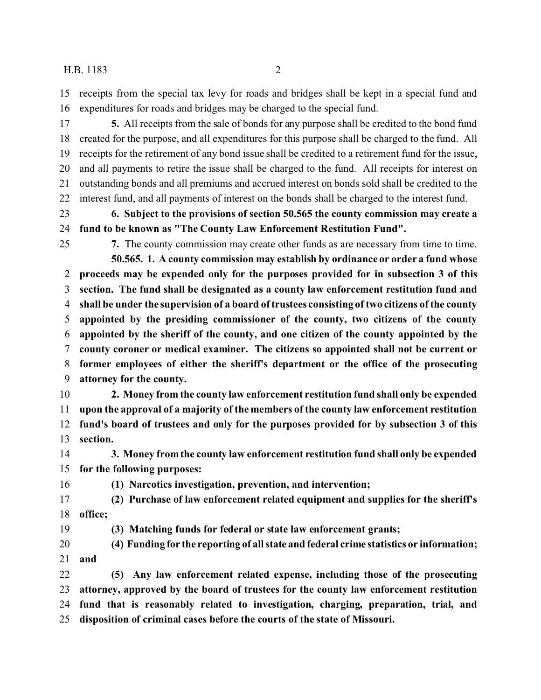### H.B. 1183 2

 receipts from the special tax levy for roads and bridges shall be kept in a special fund and expenditures for roads and bridges may be charged to the special fund.

 **5.** All receipts from the sale of bonds for any purpose shall be credited to the bond fund created for the purpose, and all expenditures for this purpose shall be charged to the fund. All receipts for the retirement of any bond issue shall be credited to a retirement fund for the issue, and all payments to retire the issue shall be charged to the fund. All receipts for interest on outstanding bonds and all premiums and accrued interest on bonds sold shall be credited to the interest fund, and all payments of interest on the bonds shall be charged to the interest fund.

 **6. Subject to the provisions of section 50.565 the county commission may create a fund to be known as "The County Law Enforcement Restitution Fund".**

**7.** The county commission may create other funds as are necessary from time to time.

**50.565. 1. A county commission may establish by ordinance or order a fund whose proceeds may be expended only for the purposes provided for in subsection 3 of this section. The fund shall be designated as a county law enforcement restitution fund and shall be under the supervision of a board of trustees consisting of two citizens of the county appointed by the presiding commissioner of the county, two citizens of the county appointed by the sheriff of the county, and one citizen of the county appointed by the county coroner or medical examiner. The citizens so appointed shall not be current or former employees of either the sheriff's department or the office of the prosecuting attorney for the county.**

 **2. Money from the county law enforcement restitution fund shall only be expended upon the approval of a majority of the members of the county law enforcement restitution fund's board of trustees and only for the purposes provided for by subsection 3 of this section.**

 **3. Money from the county law enforcement restitution fund shall only be expended for the following purposes:**

**(1) Narcotics investigation, prevention, and intervention;**

 **(2) Purchase of law enforcement related equipment and supplies for the sheriff's office;**

**(3) Matching funds for federal or state law enforcement grants;**

 **(4) Funding for the reporting of all state and federal crime statistics or information; and**

 **(5) Any law enforcement related expense, including those of the prosecuting attorney, approved by the board of trustees for the county law enforcement restitution fund that is reasonably related to investigation, charging, preparation, trial, and disposition of criminal cases before the courts of the state of Missouri.**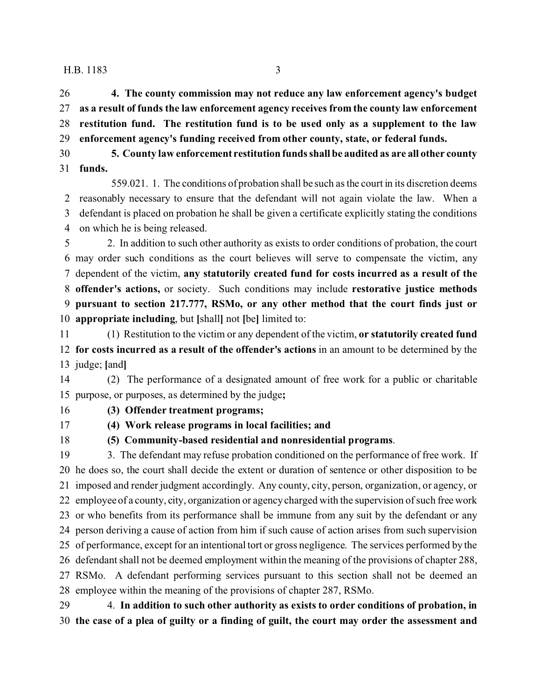H.B. 1183 3

 **4. The county commission may not reduce any law enforcement agency's budget as a result of funds the law enforcement agency receives from the county law enforcement restitution fund. The restitution fund is to be used only as a supplement to the law enforcement agency's funding received from other county, state, or federal funds.**

 **5. County law enforcement restitution funds shall be audited as are all other county funds.**

559.021. 1. The conditions of probation shall be such as the court in its discretion deems reasonably necessary to ensure that the defendant will not again violate the law. When a defendant is placed on probation he shall be given a certificate explicitly stating the conditions on which he is being released.

 2. In addition to such other authority as exists to order conditions of probation, the court may order such conditions as the court believes will serve to compensate the victim, any dependent of the victim, **any statutorily created fund for costs incurred as a result of the offender's actions,** or society. Such conditions may include **restorative justice methods pursuant to section 217.777, RSMo, or any other method that the court finds just or appropriate including**, but **[**shall**]** not **[**be**]** limited to:

 (1) Restitution to the victim or any dependent of the victim, **or statutorily created fund for costs incurred as a result of the offender's actions** in an amount to be determined by the judge; **[**and**]**

 (2) The performance of a designated amount of free work for a public or charitable purpose, or purposes, as determined by the judge**;**

**(3) Offender treatment programs;**

**(4) Work release programs in local facilities; and**

**(5) Community-based residential and nonresidential programs**.

 3. The defendant may refuse probation conditioned on the performance of free work. If he does so, the court shall decide the extent or duration of sentence or other disposition to be imposed and render judgment accordingly. Any county, city, person, organization, or agency, or employee of a county, city, organization or agency charged with the supervision of such free work or who benefits from its performance shall be immune from any suit by the defendant or any person deriving a cause of action from him if such cause of action arises from such supervision of performance, except for an intentional tort or gross negligence. The services performed by the defendant shall not be deemed employment within the meaning of the provisions of chapter 288, RSMo. A defendant performing services pursuant to this section shall not be deemed an employee within the meaning of the provisions of chapter 287, RSMo.

 4. **In addition to such other authority as exists to order conditions of probation, in the case of a plea of guilty or a finding of guilt, the court may order the assessment and**